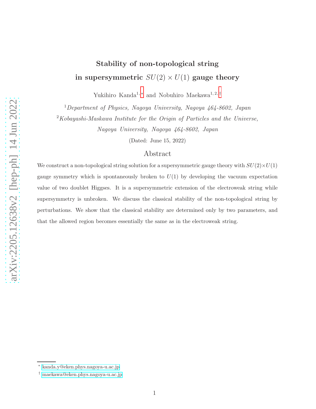# Stability of non-topological string in supersymmetric  $SU(2) \times U(1)$  gauge theory

Yukihiro Kanda<sup>1,\*</sup> and Nobuhiro Maekawa<sup>1,2,[†](#page-0-1)</sup>

<sup>1</sup>Department of Physics, Nagoya University, Nagoya 464-8602, Japan

 $2Kobayashi-Maskawa Institute for the Origin of Particles and the Universe,$ 

Nagoya University, Nagoya 464-8602, Japan

(Dated: June 15, 2022)

# Abstract

We construct a non-topological string solution for a supersymmetric gauge theory with  $SU(2) \times U(1)$ gauge symmetry which is spontaneously broken to  $U(1)$  by developing the vacuum expectation value of two doublet Higgses. It is a supersymmetric extension of the electroweak string while supersymmetry is unbroken. We discuss the classical stability of the non-topological string by perturbations. We show that the classical stability are determined only by two parameters, and that the allowed region becomes essentially the same as in the electroweak string.

<span id="page-0-1"></span><span id="page-0-0"></span><sup>∗</sup> [kanda.y@eken.phys.nagoya-u.ac.jp](mailto:kanda.y@eken.phys.nagoya-u.ac.jp)

<sup>†</sup> [maekawa@eken.phys.nagoya-u.ac.jp](mailto:maekawa@eken.phys.nagoya-u.ac.jp)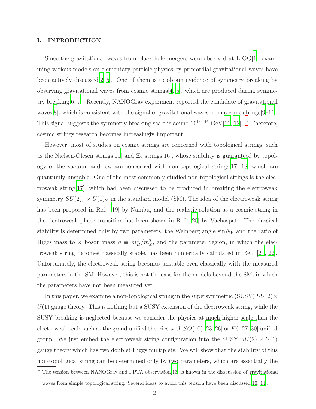# I. INTRODUCTION

Since the gravitational waves from black hole mergers were observed at LIGO[\[1\]](#page-15-0), examining various models on elementary particle physics by primordial gravitational waves have been actively discussed[\[2](#page-15-1)[–5](#page-15-2)]. One of them is to obtain evidence of symmetry breaking by observing gravitational waves from cosmic strings $[4, 5]$  $[4, 5]$ , which are produced during symmetry breaking[\[6,](#page-15-4) [7\]](#page-15-5). Recently, NANOGrav experiment reported the candidate of gravitational waves[\[8](#page-15-6)], which is consistent with the signal of gravitational waves from cosmic strings[\[9](#page-15-7)[–11\]](#page-15-8). This signal suggests the symmetry breaking scale is aound  $10^{14-16}$  GeV[\[11,](#page-15-8) [12\]](#page-15-9). \* Therefore, cosmic strings research becomes increasingly important.

However, most of studies on cosmic strings are concerned with topological strings, such as the Nielsen-Olesen strings $[15]$  and  $\mathbb{Z}_2$  strings $[16]$  $[16]$ , whose stability is guaranteed by topology of the vacuum and few are concerned with non-topological strings[\[17](#page-16-2), [18\]](#page-16-3) which are quantumly unstable. One of the most commonly studied non-topological strings is the electroweak string[\[17](#page-16-2)], which had been discussed to be produced in breaking the electroweak symmetry  $SU(2)_L \times U(1)_Y$  in the standard model (SM). The idea of the electroweak string has been proposed in Ref. [\[19\]](#page-16-4) by Nambu, and the realistic solution as a cosmic string in the electroweak phase transition has been shown in Ref. [\[20](#page-16-5)] by Vachaspati. The classical stability is determined only by two parameters, the Weinberg angle  $\sin \theta_W$  and the ratio of Higgs mass to Z boson mass  $\beta \equiv m_H^2/m_Z^2$ , and the parameter region, in which the electroweak string becomes classically stable, has been numerically calculated in Ref. [\[21,](#page-16-6) [22\]](#page-16-7). Unfortunately, the electroweak string becomes unstable even classically with the measured parameters in the SM. However, this is not the case for the models beyond the SM, in which the parameters have not been measured yet.

In this paper, we examine a non-topological string in the supersymmetric (SUSY)  $SU(2) \times$  $U(1)$  gauge theory. This is nothing but a SUSY extension of the electroweak string, while the SUSY breaking is neglected because we consider the physics at much higher scale than the electroweak scale such as the grand unified theories with  $SO(10)$  [\[23](#page-16-8)[–26](#page-16-9)] or E6 [\[27](#page-16-10)[–30\]](#page-16-11) unified group. We just embed the electroweak string configuration into the SUSY  $SU(2) \times U(1)$ gauge theory which has two doublet Higgs multiplets. We will show that the stability of this non-topological string can be determined only by two parameters, which are essentially the

<sup>∗</sup> The tension between NANOGrav and PPTA observation[\[13\]](#page-15-10) is known in the disscussion of gravitational waves from simple topological string. Several ideas to avoid this tension have been discussed[\[10,](#page-15-11) [14\]](#page-15-12).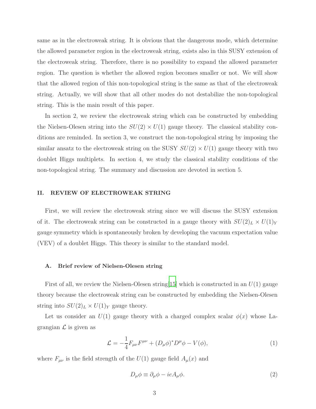same as in the electroweak string. It is obvious that the dangerous mode, which determine the allowed parameter region in the electroweak string, exists also in this SUSY extension of the electroweak string. Therefore, there is no possibility to expand the allowed parameter region. The question is whether the allowed region becomes smaller or not. We will show that the allowed region of this non-topological string is the same as that of the electroweak string. Actually, we will show that all other modes do not destabilize the non-topological string. This is the main result of this paper.

In section 2, we review the electroweak string which can be constructed by embedding the Nielsen-Olesen string into the  $SU(2) \times U(1)$  gauge theory. The classical stability conditions are reminded. In section 3, we construct the non-topological string by imposing the similar ansatz to the electroweak string on the SUSY  $SU(2) \times U(1)$  gauge theory with two doublet Higgs multiplets. In section 4, we study the classical stability conditions of the non-topological string. The summary and discussion are devoted in section 5.

# II. REVIEW OF ELECTROWEAK STRING

First, we will review the electroweak string since we will discuss the SUSY extension of it. The electroweak string can be constructed in a gauge theory with  $SU(2)_L \times U(1)_Y$ gauge symmetry which is spontaneously broken by developing the vacuum expectation value (VEV) of a doublet Higgs. This theory is similar to the standard model.

#### A. Brief review of Nielsen-Olesen string

First of all, we review the Nielsen-Olesen string  $[15]$  $[15]$  which is constructed in an  $U(1)$  gauge theory because the electroweak string can be constructed by embedding the Nielsen-Olesen string into  $SU(2)_L \times U(1)_Y$  gauge theory.

Let us consider an  $U(1)$  gauge theory with a charged complex scalar  $\phi(x)$  whose Lagrangian  $\mathcal L$  is given as

$$
\mathcal{L} = -\frac{1}{4} F_{\mu\nu} F^{\mu\nu} + (D_{\mu}\phi)^* D^{\mu}\phi - V(\phi), \tag{1}
$$

where  $F_{\mu\nu}$  is the field strength of the  $U(1)$  gauge field  $A_{\mu}(x)$  and

$$
D_{\mu}\phi \equiv \partial_{\mu}\phi - ieA_{\mu}\phi. \tag{2}
$$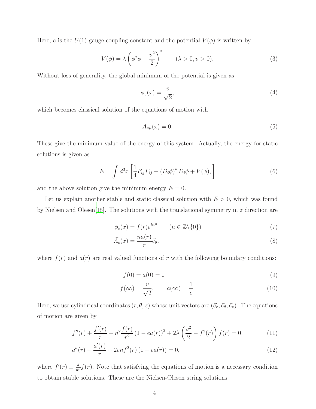Here, e is the  $U(1)$  gauge coupling constant and the potential  $V(\phi)$  is written by

$$
V(\phi) = \lambda \left(\phi^* \phi - \frac{v^2}{2}\right)^2 \qquad (\lambda > 0, v > 0). \tag{3}
$$

Without loss of generality, the global minimum of the potential is given as

$$
\phi_v(x) = \frac{v}{\sqrt{2}},\tag{4}
$$

which becomes classical solution of the equations of motion with

$$
A_{v\mu}(x) = 0.\t\t(5)
$$

These give the minimum value of the energy of this system. Actually, the energy for static solutions is given as

$$
E = \int d^3x \left[ \frac{1}{4} F_{ij} F_{ij} + (D_i \phi)^* D_i \phi + V(\phi), \right]
$$
 (6)

and the above solution give the minimum energy  $E = 0$ .

Let us explain another stable and static classical solution with  $E > 0$ , which was found by Nielsen and Olesen[\[15](#page-16-0)]. The solutions with the translational symmetry in z direction are

$$
\phi_s(x) = f(r)e^{in\theta} \qquad (n \in \mathbb{Z}\backslash\{0\})
$$
\n<sup>(7)</sup>

$$
\vec{A}_s(x) = \frac{na(r)}{r} \vec{e}_\theta,\tag{8}
$$

where  $f(r)$  and  $a(r)$  are real valued functions of r with the following boundary conditions:

$$
f(0) = a(0) = 0
$$
\n(9)

<span id="page-3-1"></span><span id="page-3-0"></span>
$$
f(\infty) = \frac{v}{\sqrt{2}}, \qquad a(\infty) = \frac{1}{e}.
$$
 (10)

Here, we use cylindrical coordinates  $(r, \theta, z)$  whose unit vectors are  $(\vec{e}_r, \vec{e}_\theta, \vec{e}_z)$ . The equations of motion are given by

$$
f''(r) + \frac{f'(r)}{r} - n^2 \frac{f(r)}{r^2} (1 - ea(r))^2 + 2\lambda \left(\frac{v^2}{2} - f^2(r)\right) f(r) = 0,
$$
 (11)

$$
a''(r) - \frac{a'(r)}{r} + 2en f^{2}(r) (1 - ea(r)) = 0,
$$
\n(12)

where  $f'(r) \equiv \frac{d}{dr} f(r)$ . Note that satisfying the equations of motion is a necessary condition to obtain stable solutions. These are the Nielsen-Olesen string solutions.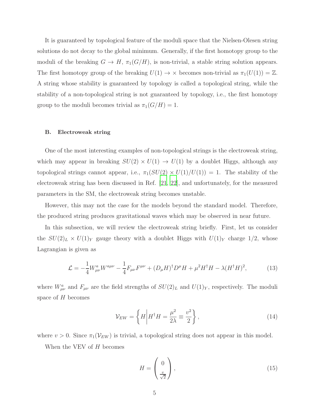It is guaranteed by topological feature of the moduli space that the Nielsen-Olesen string solutions do not decay to the global minimum. Generally, if the first homotopy group to the moduli of the breaking  $G \to H$ ,  $\pi_1(G/H)$ , is non-trivial, a stable string solution appears. The first homotopy group of the breaking  $U(1) \rightarrow \times$  becomes non-trivial as  $\pi_1(U(1)) = \mathbb{Z}$ . A string whose stability is guaranteed by topology is called a topological string, while the stability of a non-topological string is not guaranteed by topology, i.e., the first homotopy group to the moduli becomes trivial as  $\pi_1(G/H) = 1$ .

#### B. Electroweak string

One of the most interesting examples of non-topological strings is the electroweak string, which may appear in breaking  $SU(2) \times U(1) \rightarrow U(1)$  by a doublet Higgs, although any topological strings cannot appear, i.e.,  $\pi_1(SU(2) \times U(1)/U(1)) = 1$ . The stability of the electroweak string has been discussed in Ref. [\[21](#page-16-6), [22](#page-16-7)], and unfortunately, for the measured parameters in the SM, the electroweak string becomes unstable.

However, this may not the case for the models beyond the standard model. Therefore, the produced string produces gravitational waves which may be observed in near future.

In this subsection, we will review the electroweak string briefly. First, let us consider the  $SU(2)_L \times U(1)_Y$  gauge theory with a doublet Higgs with  $U(1)_Y$  charge 1/2, whose Lagrangian is given as

$$
\mathcal{L} = -\frac{1}{4} W^{a}_{\mu\nu} W^{a\mu\nu} - \frac{1}{4} F_{\mu\nu} F^{\mu\nu} + (D_{\mu} H)^{\dagger} D^{\mu} H + \mu^{2} H^{\dagger} H - \lambda (H^{\dagger} H)^{2}, \tag{13}
$$

where  $W_{\mu\nu}^a$  and  $F_{\mu\nu}$  are the field strengths of  $SU(2)_L$  and  $U(1)_Y$ , respectively. The moduli space of H becomes

<span id="page-4-0"></span>
$$
\mathcal{V}_{EW} = \left\{ H \middle| H^{\dagger} H = \frac{\mu^2}{2\lambda} \equiv \frac{v^2}{2} \right\},\tag{14}
$$

where  $v > 0$ . Since  $\pi_1(\mathcal{V}_{EW})$  is trivial, a topological string does not appear in this model.

When the VEV of  $H$  becomes

$$
H = \begin{pmatrix} 0 \\ \frac{v}{\sqrt{2}} \end{pmatrix},\tag{15}
$$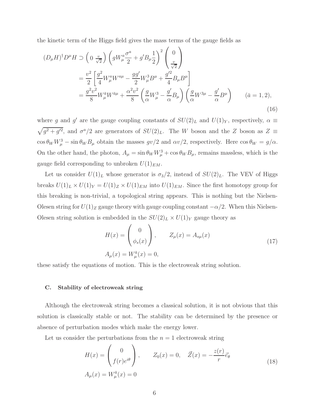the kinetic term of the Higgs field gives the mass terms of the gauge fields as

$$
(D_{\mu}H)^{\dagger}D^{\mu}H \supset \left(0 \frac{v}{\sqrt{2}}\right) \left(gW_{\mu}^{a} \frac{\sigma^{a}}{2} + g'B_{\mu} \frac{1}{2}\right)^{2} \left(\frac{0}{v^{2}}\right)
$$
  

$$
= \frac{v^{2}}{2} \left[\frac{g^{2}}{4}W_{\mu}^{a}W^{a\mu} - \frac{gg'}{2}W_{\mu}^{3}B^{\mu} + \frac{g'^{2}}{4}B_{\mu}B^{\mu}\right]
$$
  

$$
= \frac{g^{2}v^{2}}{8}W_{\mu}^{\bar{a}}W^{\bar{a}\mu} + \frac{\alpha^{2}v^{2}}{8} \left(\frac{g}{\alpha}W_{\mu}^{3} - \frac{g'}{\alpha}B_{\mu}\right) \left(\frac{g}{\alpha}W^{3\mu} - \frac{g'}{\alpha}B^{\mu}\right) \qquad (\bar{a} = 1, 2),
$$
  
(16)

where g and g' are the gauge coupling constants of  $SU(2)_L$  and  $U(1)_Y$ , respectively,  $\alpha \equiv$  $\sqrt{g^2 + g'^2}$ , and  $\sigma^a/2$  are generators of  $SU(2)_L$ . The W boson and the Z boson as  $Z \equiv$  $\cos \theta_W W_\mu^3 - \sin \theta_W B_\mu$  obtain the masses  $gv/2$  and  $\alpha v/2$ , respectively. Here  $\cos \theta_W = g/\alpha$ . On the other hand, the photon,  $A_{\mu} = \sin \theta_W W_{\mu}^3 + \cos \theta_W B_{\mu}$ , remains massless, which is the gauge field corresponding to unbroken  $U(1)_{EM}$ .

Let us consider  $U(1)<sub>L</sub>$  whose generator is  $\sigma_3/2$ , instead of  $SU(2)<sub>L</sub>$ . The VEV of Higgs breaks  $U(1)_L \times U(1)_Y = U(1)_Z \times U(1)_{EM}$  into  $U(1)_{EM}$ . Since the first homotopy group for this breaking is non-trivial, a topological string appears. This is nothing but the Nielsen-Olesen string for  $U(1)_Z$  gauge theory with gauge coupling constant  $-\alpha/2$ . When this Nielsen-Olesen string solution is embedded in the  $SU(2)_L \times U(1)_Y$  gauge theory as

$$
H(x) = \begin{pmatrix} 0 \\ \phi_s(x) \end{pmatrix}, \qquad Z_{\mu}(x) = A_{s\mu}(x)
$$
  

$$
A_{\mu}(x) = W_{\mu}^{\bar{a}}(x) = 0,
$$
 (17)

these satisfy the equations of motion. This is the electroweak string solution.

#### C. Stability of electroweak string

Although the electroweak string becomes a classical solution, it is not obvious that this solution is classically stable or not. The stability can be determined by the presence or absence of perturbation modes which make the energy lower.

Let us consider the perturbations from the  $n = 1$  electroweak string

<span id="page-5-0"></span>
$$
H(x) = \begin{pmatrix} 0 \\ f(r)e^{i\theta} \end{pmatrix}, \qquad Z_0(x) = 0, \quad \vec{Z}(x) = -\frac{z(r)}{r}\vec{e}_{\theta}
$$
  
\n
$$
A_{\mu}(x) = W^{\bar{a}}_{\mu}(x) = 0
$$
\n(18)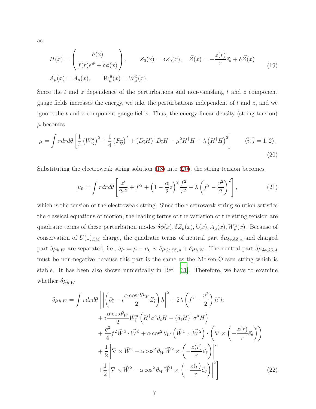as

$$
H(x) = \begin{pmatrix} h(x) \\ f(r)e^{i\theta} + \delta\phi(x) \end{pmatrix}, \qquad Z_0(x) = \delta Z_0(x), \quad \vec{Z}(x) = -\frac{z(r)}{r}\vec{e}_{\theta} + \delta\vec{Z}(x)
$$
(19)  

$$
A_{\mu}(x) = A_{\mu}(x), \qquad W_{\mu}^{\bar{a}}(x) = W_{\mu}^{\bar{a}}(x).
$$

Since the t and z dependence of the perturbations and non-vanishing t and z component gauge fields increases the energy, we take the perturbations independent of  $t$  and  $z$ , and we ignore the  $t$  and  $z$  component gauge fields. Thus, the energy linear density (string tension)  $\mu$  becomes

$$
\mu = \int r dr d\theta \left[ \frac{1}{4} \left( W_{\bar{i}\bar{j}}^{\alpha} \right)^2 + \frac{1}{4} \left( F_{\bar{i}\bar{j}} \right)^2 + \left( D_{\bar{i}} H \right)^{\dagger} D_{\bar{i}} H - \mu^2 H^{\dagger} H + \lambda \left( H^{\dagger} H \right)^2 \right] \qquad (\bar{i}, \bar{j} = 1, 2). \tag{20}
$$

Substituting the electroweak string solution [\(18\)](#page-5-0) into [\(20\)](#page-6-0), the string tension becomes

<span id="page-6-0"></span>
$$
\mu_0 = \int r dr d\theta \left[ \frac{z'}{2r^2} + f'^2 + \left( 1 - \frac{\alpha}{2} z \right)^2 \frac{f^2}{r^2} + \lambda \left( f^2 - \frac{v^2}{2} \right)^2 \right],\tag{21}
$$

which is the tension of the electroweak string. Since the electroweak string solution satisfies the classical equations of motion, the leading terms of the variation of the string tension are quadratic terms of these perturbation modes  $\delta\phi(x), \delta Z_{\mu}(x), h(x), A_{\mu}(x), W_{\mu}^{\bar{a}}(x)$ . Because of conservation of  $U(1)_{EM}$  charge, the quadratic terms of neutral part  $\delta\mu_{\delta\phi,\delta Z,A}$  and charged part  $\delta\mu_{h,W}$  are separated, i.e.,  $\delta\mu = \mu - \mu_0 \sim \delta\mu_{\delta\phi,\delta Z,A} + \delta\mu_{h,W}$ . The neutral part  $\delta\mu_{\delta\phi,\delta Z,A}$ must be non-negative because this part is the same as the Nielsen-Olesen string which is stable. It has been also shown numerically in Ref. [\[31](#page-16-12)]. Therefore, we have to examine whether  $\delta \mu_{h,W}$ 

$$
\delta\mu_{h,W} = \int r dr d\theta \left[ \left| \left( \partial_{\tilde{i}} - i \frac{\alpha \cos 2\theta_{W}}{2} Z_{\tilde{i}} \right) h \right|^{2} + 2\lambda \left( f^{2} - \frac{v^{2}}{2} \right) h^{*} h \right. \\
\left. + i \frac{\alpha \cos \theta_{W}}{2} W_{\tilde{i}}^{\tilde{a}} \left( H^{\dagger} \sigma^{\tilde{a}} d_{\tilde{i}} H - \left( d_{\tilde{i}} H \right)^{\dagger} \sigma^{\tilde{a}} H \right) \\
+ \frac{g^{2}}{4} f^{2} \vec{W}^{\tilde{a}} \cdot \vec{W}^{\tilde{a}} + \alpha \cos^{2} \theta_{W} \left( \vec{W}^{1} \times \vec{W}^{2} \right) \cdot \left( \nabla \times \left( -\frac{z(r)}{r} \vec{e}_{\theta} \right) \right) \\
+ \frac{1}{2} \left| \nabla \times \vec{W}^{1} + \alpha \cos^{2} \theta_{W} \vec{W}^{2} \times \left( -\frac{z(r)}{r} \vec{e}_{\theta} \right) \right|^{2} \\
+ \frac{1}{2} \left| \nabla \times \vec{W}^{2} - \alpha \cos^{2} \theta_{W} \vec{W}^{1} \times \left( -\frac{z(r)}{r} \vec{e}_{\theta} \right) \right|^{2} \right]
$$
\n(22)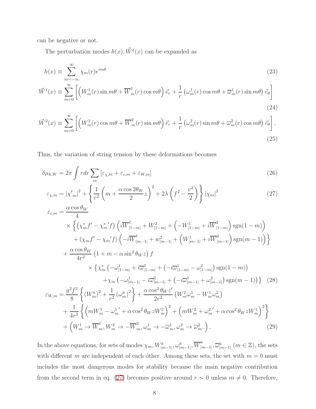can be negative or not.

The perturbation modes  $h(x)$ ,  $\vec{W}^{\bar{a}}(x)$  can be expanded as

$$
h(x) \equiv \sum_{m=-\infty}^{\infty} \chi_m(r)e^{im\theta} \tag{23}
$$

$$
\vec{W}^{1}(x) \equiv \sum_{m=0}^{\infty} \left[ \left( W_{m}^{1}(r) \sin m\theta + \overline{W}_{m}^{1}(r) \cos m\theta \right) \vec{e}_{r} + \frac{1}{r} \left( \omega_{m}^{1}(r) \cos m\theta + \overline{\omega}_{m}^{1}(r) \sin m\theta \right) \vec{e}_{\theta} \right]
$$
\n(24)

$$
\vec{W}^2(x) \equiv \sum_{m=0}^{\infty} \left[ \left( W_m^2(r) \cos m\theta + \overline{W}_m^2(r) \sin m\theta \right) \vec{e}_r + \frac{1}{r} \left( \omega_m^2(r) \sin m\theta + \overline{\omega}_m^2(r) \cos m\theta \right) \vec{e}_\theta \right].
$$
\n(25)

Thus, the variation of string tension by these deformations becomes

$$
\delta \mu_{h,W} = 2\pi \int r dr \sum_{m} \left[ \varepsilon_{\chi,m} + \varepsilon_{c,m} + \varepsilon_{W,m} \right]
$$
\n(26)

<span id="page-7-0"></span>
$$
\varepsilon_{\chi,m} = |\chi_m'|^2 + \left\{ \frac{1}{r^2} \left( m + \frac{\alpha \cos 2\theta_W}{2} z \right)^2 + 2\lambda \left( f^2 - \frac{v^2}{2} \right) \right\} |\chi_m|^2 \tag{27}
$$

$$
\varepsilon_{c,m} = \frac{\alpha \cos \theta_{W}}{4} \times \left\{ \left( \chi_{m}^{*} f' - \chi_{m}^{*} f \right) \left( i \overline{W}_{|1-m|}^{1} + W_{|1-m|}^{2} + \left( -W_{|1-m|}^{1} + i \overline{W}_{|1-m|}^{2} \right) \text{sgn}(1-m) \right) \right. \\ \left. + \left( \chi_{m} f' - \chi_{m}^{*} f \right) \left( -i \overline{W}_{|m-1|}^{1} + w_{|m-1|}^{2} + \left( W_{|m-1|}^{1} + i \overline{W}_{|m-1|}^{2} \right) \text{sgn}(m-1) \right) \right\} \\ \left. + \frac{\alpha \cos \theta_{W}}{4r^{2}} \left( 1 + m - \alpha \sin^{2} \theta_{W} z \right) f \\ \times \left\{ \chi_{m}^{*} \left( -\omega_{|1-m|}^{1} + i \overline{\omega}_{|1-m|}^{2} + \left( -i \overline{\omega}_{|1-m|}^{1} - \omega_{|1-m|}^{2} \right) \text{sgn}(1-m) \right) \right. \\ \left. + \chi_{m} \left( -\omega_{|m-1|}^{1} - i \overline{\omega}_{|m-1|}^{2} + \left( -i \overline{\omega}_{|m-1|}^{1} + \omega_{|m-1|}^{2} \right) \text{sgn}(m-1) \right) \right\} \quad (28)
$$
  

$$
\varepsilon_{W,m} = \frac{g^{2} f^{2}}{8} \left\{ \left( W_{m}^{\bar{a}} \right)^{2} + \frac{1}{r^{2}} \left( \omega_{m}^{\bar{a}} \right)^{2} \right\} + \frac{\alpha \cos^{2} \theta_{W} z'}{2r^{2}} \left( W_{m}^{2} \omega_{m}^{1} - W_{m}^{1} \omega_{m}^{2} \right) \\ \left. + \frac{1}{4r^{2}} \left\{ \left( m W_{m}^{1} - \omega_{m}^{1'} + \alpha \cos^{2} \theta_{W} z W_{m}^{2} \right)^{2} + \left( m W_{m}^{2} + \omega_{m}^{2'} + \alpha \cos^{2} \theta_{W} z W_{m}^{1} \right)^{2} \right\} + \left
$$

In the above equations, for sets of modes  $\chi_m$ ,  $W^{\bar a}_{|m-1|}$ ,  $\omega^{\bar a}_{|m-1|}$ ,  $\overline W^{\bar a}_{|n|}$  $\bar{u}_{[m-1]}, \overline{\omega}_{[m-1]}^{\bar{a}}$   $(m \in \mathbb{Z})$ , the sets with different m are independent of each other. Among these sets, the set with  $m = 0$  must includes the most dangerous modes for stability because the main negative contribution from the second term in eq. [\(27\)](#page-7-0) becomes positive around  $r \sim 0$  unless  $m \neq 0$ . Therefore,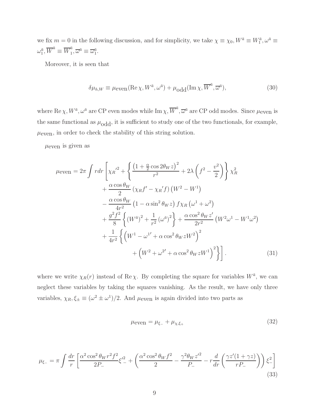we fix  $m = 0$  in the following discussion, and for simplicity, we take  $\chi \equiv \chi_0, W^{\bar{a}} \equiv W_1^{\bar{a}}, \omega^{\bar{a}} \equiv$  $\omega_1^{\bar{a}}, \overline{W}^{\bar{a}} \equiv \overline{W}_1^{\bar{a}}$  $a_1^a, \overline{\omega}^{\overline{a}} \equiv \overline{\omega}_1^{\overline{a}}.$ 

Moreover, it is seen that

$$
\delta\mu_{h,W} \equiv \mu_{\text{even}}(\text{Re}\,\chi, W^{\bar{a}}, \omega^{\bar{a}}) + \mu_{\text{odd}}(\text{Im}\,\chi, \overline{W}^{\bar{a}}, \overline{\omega}^{\bar{a}}),\tag{30}
$$

where  $\text{Re }\chi, W^{\bar{a}}, \omega^{\bar{a}}$  are CP even modes while  $\text{Im }\chi, \overline{W}^{\bar{a}}, \overline{\omega}^{\bar{a}}$  are CP odd modes. Since  $\mu_{\text{even}}$  is the same functional as  $\mu_{\text{odd}}$ , it is sufficient to study one of the two functionals, for example,  $\mu_{\text{even}}$ , in order to check the stability of this string solution.

 $\mu$ even is given as

$$
\mu_{\text{even}} = 2\pi \int r dr \left[ \chi_{R}^{\prime 2} + \left\{ \frac{\left(1 + \frac{\alpha}{2} \cos 2\theta_{W} z\right)^{2}}{r^{2}} + 2\lambda \left(f^{2} - \frac{v^{2}}{2}\right) \right\} \chi_{R}^{2} + \frac{\alpha \cos \theta_{W}}{2} \left(\chi_{R} f^{\prime} - \chi_{R}^{\prime} f\right) \left(W^{2} - W^{1}\right) - \frac{\alpha \cos \theta_{W}}{4r^{2}} \left(1 - \alpha \sin^{2} \theta_{W} z\right) f \chi_{R} \left(\omega^{1} + \omega^{2}\right) + \frac{g^{2} f^{2}}{8} \left\{ \left(W^{\bar{a}}\right)^{2} + \frac{1}{r^{2}} \left(\omega^{\bar{a}}\right)^{2} \right\} + \frac{\alpha \cos^{2} \theta_{W} z^{\prime}}{2r^{2}} \left(W^{2} \omega^{1} - W^{1} \omega^{2}\right) + \frac{1}{4r^{2}} \left\{ \left(W^{1} - \omega^{1}^{\prime} + \alpha \cos^{2} \theta_{W} z W^{2}\right)^{2} + \left(W^{2} + \omega^{2}^{\prime} + \alpha \cos^{2} \theta_{W} z W^{1}\right)^{2} \right\} \right].
$$
\n(31)

where we write  $\chi_R(r)$  instead of Re  $\chi$ . By completing the square for variables  $W^{\bar{a}}$ , we can neglect these variables by taking the squares vanishing. As the result, we have only three variables,  $\chi_R, \xi_{\pm} \equiv (\omega^2 \pm \omega^1)/2$ . And  $\mu_{\text{even}}$  is again divided into two parts as

$$
\mu_{\text{even}} = \mu_{\xi-} + \mu_{\chi,\xi+} \tag{32}
$$

$$
\mu_{\xi-} = \pi \int \frac{dr}{r} \left[ \frac{\alpha^2 \cos^2 \theta_W r^2 f^2}{2P_-} \xi'^2 - \left( \frac{\alpha^2 \cos^2 \theta_W f^2}{2} - \frac{\gamma^2 \theta_W z'^2}{P_-} - r \frac{d}{dr} \left( \frac{\gamma z'(1+\gamma z)}{r P_-} \right) \right) \xi^2 - \right] \tag{33}
$$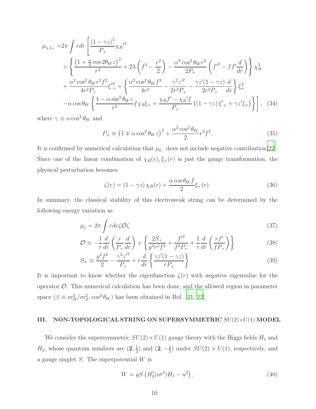$$
\mu_{\chi,\xi_{+}} = 2\pi \int r dr \left[ \frac{(1-\gamma z)^{2}}{P_{+}} \chi_{R}^{'2} + 2\lambda \left( f^{2} - \frac{v^{2}}{2} \right) - \frac{\alpha^{2} \cos^{2} \theta_{W} r^{2}}{2P_{+}} \left( f'^{2} - f f' \frac{d}{dr} \right) \right] \chi_{R}^{2} + \frac{\alpha^{2} \cos^{2} \theta_{W} r^{2} f^{2}}{4r^{2} P_{+}} \xi_{+}^{'2} + \left\{ \frac{\alpha^{2} \cos^{2} \theta_{W} f^{2}}{4r^{2}} - \frac{\gamma^{2} z'^{2}}{2r^{2} P_{+}} - \frac{\gamma z'(1-\gamma z)}{2r^{2} P_{+}} \frac{d}{dr} \right\} \xi_{+}^{2} - \alpha \cos \theta_{W} \left\{ \frac{1 - \alpha \sin^{2} \theta_{W} z}{r^{2}} f \chi_{R} \xi_{+} + \frac{\chi_{R} f' - \chi_{R}^{'f}}{P_{+}} \left( (1 - \gamma z) \xi'_{+} + \gamma z' \xi_{+} \right) \right\} \right], \quad (34)
$$

where  $\gamma \equiv \alpha \cos^2 \theta_W$  and

$$
P_{\pm} \equiv \left(1 \mp \alpha \cos^2 \theta_W z\right)^2 + \frac{\alpha^2 \cos^2 \theta_W}{2} r^2 f^2. \tag{35}
$$

It is confirmed by numerical calculation that  $\mu_{\xi-}$  does not include negative contribution[\[22\]](#page-16-7). Since one of the linear combination of  $\chi_R(r), \xi_{+}(r)$  is just the gauge transformation, the physical perturbation becomes

$$
\zeta(r) = (1 - \gamma z) \chi_R(r) + \frac{\alpha \cos \theta_W f}{2} \xi_+(r). \tag{36}
$$

In summary, the classical stability of this electroweak string can be determined by the following energy variation as

$$
\mu_{\zeta} = 2\pi \int r dr \zeta \mathcal{O}\zeta \tag{37}
$$

$$
\mathcal{O} \equiv -\frac{1}{r} \frac{d}{dr} \left( \frac{r}{P_{+}} \frac{d}{dr} \right) + \left\{ \frac{2S_{+}}{g^{2}r^{2}f^{2}} + \frac{f'^{2}}{f^{2}P_{+}} + \frac{1}{r} \frac{d}{dr} \left( \frac{rf'}{fP_{+}} \right) \right\}
$$
(38)

$$
S_{+} \equiv \frac{g^2 f^2}{2} - \frac{\gamma^2 z'^2}{P_+} + r \frac{d}{dr} \left\{ \frac{\gamma z'(1 - \gamma z)}{r P_+} \right\}.
$$
 (39)

It is important to know whether the eigenfunction  $\zeta(r)$  with negative eigenvalue for the operator  $\mathcal{O}$ . This numerical calculation has been done, and the allowed region in parameter space  $(\beta \equiv m_H^2/m_Z^2, \cos^2 \theta_W)$  has been obtained in Ref. [\[21,](#page-16-6) [22](#page-16-7)].

# III. NON-TOPOLOGICAL STRING ON SUPERSYMMETRIC  $SU(2)\times U(1)$  MODEL

We consider the supersymmetric  $SU(2)\times U(1)$  gauge theory with the Higgs fields  $H_1$  and  $H_2$ , whose quantum numbers are  $(2, \frac{1}{2})$  $(\frac{1}{2})$  and  $(2, -\frac{1}{2})$  $\frac{1}{2}$ ) under  $SU(2) \times U(1)$ , respectively, and a gauge singlet  $S$ . The superpotential  $W$  is

$$
W = yS \left( H_2^t (i\sigma^2) H_1 - u^2 \right), \tag{40}
$$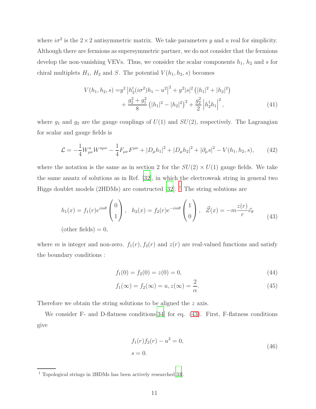where  $i\sigma^2$  is the  $2 \times 2$  antisymmetric matrix. We take parameters y and u real for simplicity. Although there are fermions as supersymmetric partner, we do not consider that the fermions develop the non-vanishing VEVs. Thus, we consider the scalar components  $h_1$ ,  $h_2$  and s for chiral multiplets  $H_1$ ,  $H_2$  and S. The potential  $V(h_1, h_2, s)$  becomes

<span id="page-10-3"></span>
$$
V(h_1, h_2, s) = y^2 \left| h_2^t (i\sigma^2) h_1 - u^2 \right|^2 + y^2 |s|^2 \left( |h_1|^2 + |h_2|^2 \right) + \frac{g_2^2 + g_1^2}{8} \left( |h_1|^2 - |h_2|^2 \right)^2 + \frac{g_2^2}{2} \left| h_2^{\dagger} h_1 \right|^2, \tag{41}
$$

where  $g_1$  and  $g_2$  are the gauge couplings of  $U(1)$  and  $SU(2)$ , respectively. The Lagrangian for scalar and gauge fields is

$$
\mathcal{L} = -\frac{1}{4} W_{\mu\nu}^a W^{a\mu\nu} - \frac{1}{4} F_{\mu\nu} F^{\mu\nu} + |D_{\mu} h_1|^2 + |D_{\mu} h_2|^2 + |\partial_{\mu} s|^2 - V(h_1, h_2, s), \tag{42}
$$

where the notation is the same as in section 2 for the  $SU(2) \times U(1)$  gauge fields. We take the same ansatz of solutions as in Ref. [\[32\]](#page-16-13), in which the electroweak string in general two Higgs doublet models (2HDMs) are constructed [\[32\]](#page-16-13). † The string solutions are

$$
h_1(x) = f_1(r)e^{im\theta} \begin{pmatrix} 0 \\ 1 \end{pmatrix}, \quad h_2(x) = f_2(r)e^{-im\theta} \begin{pmatrix} 1 \\ 0 \end{pmatrix}, \quad \vec{Z}(x) = -m\frac{z(r)}{r}\vec{e}_{\theta}
$$
\n(other fields) = 0,

where m is integer and non-zero.  $f_1(r)$ ,  $f_2(r)$  and  $z(r)$  are real-valued functions and satisfy the boundary conditions :

<span id="page-10-1"></span><span id="page-10-0"></span>
$$
f_1(0) = f_2(0) = z(0) = 0,
$$
\n(44)

$$
f_1(\infty) = f_2(\infty) = u, z(\infty) = \frac{2}{\alpha}.
$$
\n(45)

Therefore we obtain the string solutions to be aligned the z axis.

We consider F- and D-flatness conditions [\[34](#page-17-0)] for eq. [\(43\)](#page-10-0). First, F-flatness conditions give

<span id="page-10-2"></span>
$$
f_1(r)f_2(r) - u^2 = 0,
$$
  
\n
$$
s = 0.
$$
\n(46)

<sup>†</sup> Topological strings in 2HDMs has been actively researched[\[33\]](#page-16-14).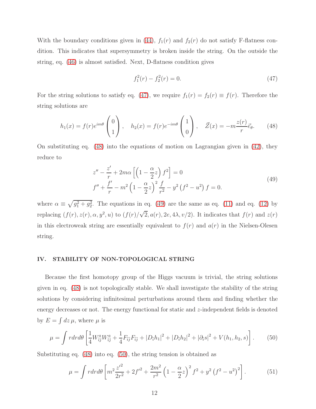With the boundary conditions given in [\(44\)](#page-10-1),  $f_1(r)$  and  $f_2(r)$  do not satisfy F-flatness condition. This indicates that supersymmetry is broken inside the string. On the outside the string, eq. [\(46\)](#page-10-2) is almost satisfied. Next, D-flatness condition gives

<span id="page-11-2"></span><span id="page-11-1"></span><span id="page-11-0"></span>
$$
f_1^2(r) - f_2^2(r) = 0.
$$
 (47)

For the string solutions to satisfy eq. [\(47\)](#page-11-0), we require  $f_1(r) = f_2(r) \equiv f(r)$ . Therefore the string solutions are

$$
h_1(x) = f(r)e^{im\theta} \begin{pmatrix} 0 \\ 1 \end{pmatrix}, \quad h_2(x) = f(r)e^{-im\theta} \begin{pmatrix} 1 \\ 0 \end{pmatrix}, \quad \vec{Z}(x) = -m\frac{z(r)}{r}\vec{e}_{\theta}.
$$
 (48)

On substituting eq. [\(48\)](#page-11-1) into the equations of motion on Lagrangian given in [\(42\)](#page-10-3), they reduce to

$$
z'' - \frac{z'}{r} + 2m\alpha \left[ \left( 1 - \frac{\alpha}{2} z \right) f^2 \right] = 0
$$
  

$$
f'' + \frac{f'}{r} - m^2 \left( 1 - \frac{\alpha}{2} z \right)^2 \frac{f}{r^2} - y^2 \left( f^2 - u^2 \right) f = 0.
$$
 (49)

where  $\alpha \equiv \sqrt{g_1^2 + g_2^2}$ . The equations in eq. [\(49\)](#page-11-2) are the same as eq. [\(11\)](#page-3-0) and eq. [\(12\)](#page-3-1) by replacing  $(f(r), z(r), \alpha, y^2, u)$  to  $(f(r)/\sqrt{2}, a(r), 2e, 4\lambda, v/2)$ . It indicates that  $f(r)$  and  $z(r)$ in this electroweak string are essentially equivalent to  $f(r)$  and  $a(r)$  in the Nielsen-Olesen string.

# IV. STABILITY OF NON-TOPOLOGICAL STRING

Because the first homotopy group of the Higgs vacuum is trivial, the string solutions given in eq. [\(48\)](#page-11-1) is not topologically stable. We shall investigate the stability of the string solutions by considering infinitesimal perturbations around them and finding whether the energy decreases or not. The energy functional for static and z-independent fields is denoted by  $E = \int dz \mu$ , where  $\mu$  is

$$
\mu = \int r dr d\theta \left[ \frac{1}{4} W_{\bar{i}j}^a W_{\bar{i}j}^a + \frac{1}{4} F_{\bar{i}j} F_{\bar{i}j} + |D_{\bar{i}} h_1|^2 + |D_{\bar{i}} h_2|^2 + |\partial_{\bar{i}} s|^2 + V(h_1, h_2, s) \right]. \tag{50}
$$

Substituting eq. [\(48\)](#page-11-1) into eq. [\(50\)](#page-11-3), the string tension is obtained as

<span id="page-11-3"></span>
$$
\mu = \int r dr d\theta \left[ m^2 \frac{z'^2}{2r^2} + 2f'^2 + \frac{2m^2}{r^2} \left( 1 - \frac{\alpha}{2} z \right)^2 f^2 + y^2 \left( f^2 - u^2 \right)^2 \right]. \tag{51}
$$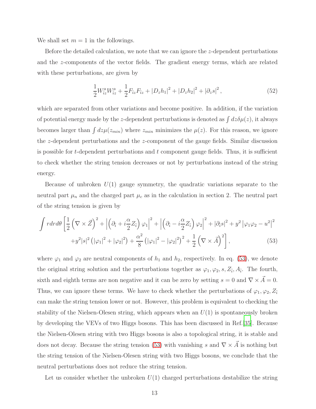We shall set  $m = 1$  in the followings.

Before the detailed calculation, we note that we can ignore the z-dependent perturbations and the z-components of the vector fields. The gradient energy terms, which are related with these perturbations, are given by

$$
\frac{1}{2}W_{iz}^aW_{iz}^a + \frac{1}{2}F_{iz}F_{iz} + |D_zh_1|^2 + |D_zh_2|^2 + |\partial_zs|^2,
$$
\n(52)

which are separated from other variations and become positive. In addition, if the variation of potential energy made by the z-dependent perturbations is denoted as  $\int dz \delta \mu(z)$ , it always becomes larger than  $\int dz \mu(z_{min})$  where  $z_{min}$  minimizes the  $\mu(z)$ . For this reason, we ignore the z-dependent perturbations and the z-component of the gauge fields. Similar discussion is possible for  $t$ -dependent perturbations and  $t$  component gauge fields. Thus, it is sufficient to check whether the string tension decreases or not by perturbations instead of the string energy.

Because of unbroken  $U(1)$  gauge symmetry, the quadratic variations separate to the neutral part  $\mu_n$  and the charged part  $\mu_c$  as in the calculation in section 2. The neutral part of the string tension is given by

<span id="page-12-0"></span>
$$
\int r dr d\theta \left[ \frac{1}{2} \left( \nabla \times \vec{Z} \right)^2 + \left| \left( \partial_{\tilde{i}} + i \frac{\alpha}{2} Z_{\tilde{i}} \right) \varphi_1 \right|^2 + \left| \left( \partial_{\tilde{i}} - i \frac{\alpha}{2} Z_{\tilde{i}} \right) \varphi_2 \right|^2 + |\partial_{\tilde{i}} s|^2 + y^2 \left| \varphi_1 \varphi_2 - u^2 \right|^2
$$
  
+
$$
y^2 |s|^2 \left( |\varphi_1|^2 + |\varphi_2|^2 \right) + \frac{\alpha^2}{8} \left( |\varphi_1|^2 - |\varphi_2|^2 \right)^2 + \frac{1}{2} \left( \nabla \times \vec{A} \right)^2 \right],
$$
 (53)

where  $\varphi_1$  and  $\varphi_2$  are neutral components of  $h_1$  and  $h_2$ , respectively. In eq. [\(53\)](#page-12-0), we denote the original string solution and the perturbations together as  $\varphi_1, \varphi_2, s, Z_{\bar{i}}, A_{\bar{i}}$ . The fourth, sixth and eighth terms are non negative and it can be zero by setting  $s = 0$  and  $\nabla \times \vec{A} = 0$ . Thus, we can ignore these terms. We have to check whether the perturbations of  $\varphi_1, \varphi_2, Z_{\bar{i}}$ can make the string tension lower or not. However, this problem is equivalent to checking the stability of the Nielsen-Olesen string, which appears when an  $U(1)$  is spontaneously broken by developing the VEVs of two Higgs bosons. This has been discussed in Ref.[\[35\]](#page-17-1). Because the Nielsen-Olesen string with two Higgs bosons is also a topological string, it is stable and does not decay. Because the string tension [\(53\)](#page-12-0) with vanishing s and  $\nabla \times \vec{A}$  is nothing but the string tension of the Nielsen-Olesen string with two Higgs bosons, we conclude that the neutral perturbations does not reduce the string tension.

Let us consider whether the unbroken  $U(1)$  charged perturbations destabilize the string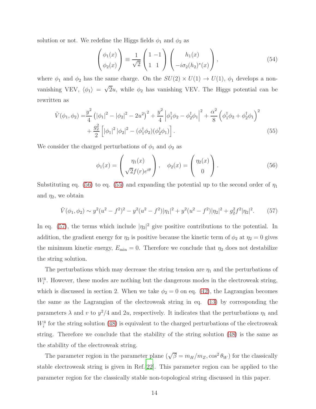solution or not. We redefine the Higgs fields  $\phi_1$  and  $\phi_2$  as

$$
\begin{pmatrix} \phi_1(x) \\ \phi_2(x) \end{pmatrix} \equiv \frac{1}{\sqrt{2}} \begin{pmatrix} 1 & -1 \\ 1 & 1 \end{pmatrix} \begin{pmatrix} h_1(x) \\ -i\sigma_2(h_2)^*(x) \end{pmatrix}, \tag{54}
$$

where  $\phi_1$  and  $\phi_2$  has the same charge. On the  $SU(2) \times U(1) \rightarrow U(1)$ ,  $\phi_1$  develops a nonvanishing VEV,  $\langle \phi_1 \rangle = \sqrt{2}u$ , while  $\phi_2$  has vanishing VEV. The Higgs potential can be rewritten as

$$
\tilde{V}(\phi_1, \phi_2) = \frac{y^2}{4} \left( |\phi_1|^2 - |\phi_2|^2 - 2u^2 \right)^2 + \frac{y^2}{4} \left| \phi_1^{\dagger} \phi_2 - \phi_2^{\dagger} \phi_1 \right|^2 + \frac{\alpha^2}{8} \left( \phi_1^{\dagger} \phi_2 + \phi_2^{\dagger} \phi_1 \right)^2 \n+ \frac{g_2^2}{2} \left[ |\phi_1|^2 |\phi_2|^2 - (\phi_1^{\dagger} \phi_2)(\phi_2^{\dagger} \phi_1) \right].
$$
\n(55)

We consider the charged perturbations of  $\phi_1$  and  $\phi_2$  as

<span id="page-13-2"></span><span id="page-13-1"></span><span id="page-13-0"></span>
$$
\phi_1(x) = \begin{pmatrix} \eta_1(x) \\ \sqrt{2}f(r)e^{i\theta} \end{pmatrix}, \quad \phi_2(x) = \begin{pmatrix} \eta_2(x) \\ 0 \end{pmatrix}.
$$
 (56)

Substituting eq. [\(56\)](#page-13-0) to eq. [\(55\)](#page-13-1) and expanding the potential up to the second order of  $\eta_1$ and  $\eta_2$ , we obtain

$$
\tilde{V}(\phi_1, \phi_2) \sim y^2 (u^2 - f^2)^2 - y^2 (u^2 - f^2) |\eta_1|^2 + y^2 (u^2 - f^2) |\eta_2|^2 + g_2^2 f^2 |\eta_2|^2. \tag{57}
$$

In eq. [\(57\)](#page-13-2), the terms which include  $|\eta_2|^2$  give positive contributions to the potential. In addition, the gradient energy for  $\eta_2$  is positive because the kinetic term of  $\phi_2$  at  $\eta_2 = 0$  gives the minimum kinetic energy,  $E_{\text{min}} = 0$ . Therefore we conclude that  $\eta_2$  does not destabilize the string solution.

The perturbations which may decrease the string tension are  $\eta_1$  and the perturbations of  $W_{\bar{i}}^{\bar{a}}$ . However, these modes are nothing but the dangerous modes in the electroweak string, which is discussed in section 2. When we take  $\phi_2 = 0$  on eq. [\(42\)](#page-10-3), the Lagrangian becomes the same as the Lagrangian of the electroweak string in eq. [\(13\)](#page-4-0) by corresponding the parameters  $\lambda$  and v to  $y^2/4$  and 2u, respectively. It indicates that the perturbations  $\eta_1$  and  $W^{\bar{a}}_{\bar{i}}$  for the string solution [\(48\)](#page-11-1) is equivalent to the charged perturbations of the electroweak string. Therefore we conclude that the stability of the string solution [\(48\)](#page-11-1) is the same as the stability of the electroweak string.

The parameter region in the parameter plane  $(\sqrt{\beta} = m_H/m_Z, \cos^2 \theta_W)$  for the classically stable electroweak string is given in Ref.[\[22\]](#page-16-7). This parameter region can be applied to the parameter region for the classically stable non-topological string discussed in this paper.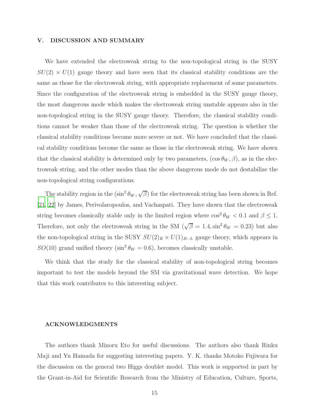# V. DISCUSSION AND SUMMARY

We have extended the electroweak string to the non-topological string in the SUSY  $SU(2) \times U(1)$  gauge theory and have seen that its classical stability conditions are the same as those for the electroweak string, with appropriate replacement of some parameters. Since the configuration of the electroweak string is embedded in the SUSY gauge theory, the most dangerous mode which makes the electroweak string unstable appears also in the non-topological string in the SUSY gauge theory. Therefore, the classical stability conditions cannot be weaker than those of the electroweak string. The question is whether the classical stability conditions become more severe or not. We have concluded that the classical stability conditions become the same as those in the electroweak string. We have shown that the classical stability is determined only by two parameters,  $(\cos \theta_W, \beta)$ , as in the electroweak string, and the other modes than the above dangerous mode do not destabilize the non-topological string configurations.

The stability region in the  $(\sin^2 \theta_W, \sqrt{\beta})$  for the electroweak string has been shown in Ref. [\[21,](#page-16-6) [22](#page-16-7)] by James, Perivolaropoulos, and Vachaspati. They have shown that the electroweak string becomes classically stable only in the limited region where  $\cos^2 \theta_W < 0.1$  and  $\beta \leq 1$ . Therefore, not only the electroweak string in the SM  $(\sqrt{\beta} = 1.4, \sin^2 \theta_W = 0.23)$  but also the non-topological string in the SUSY  $SU(2)_R \times U(1)_{B-L}$  gauge theory, which appears in  $SO(10)$  grand unified theory (sin<sup>2</sup>  $\theta_W = 0.6$ ), becomes classically unstable.

We think that the study for the classical stability of non-topological string becomes important to test the models beyond the SM via gravitational wave detection. We hope that this work contributes to this interesting subject.

#### ACKNOWLEDGMENTS

The authors thank Minoru Eto for useful discussions. The authors also thank Rinku Maji and Yu Hamada for suggesting interesting papers. Y. K. thanks Motoko Fujiwara for the discussion on the general two Higgs doublet model. This work is supported in part by the Grant-in-Aid for Scientific Research from the Ministry of Education, Culture, Sports,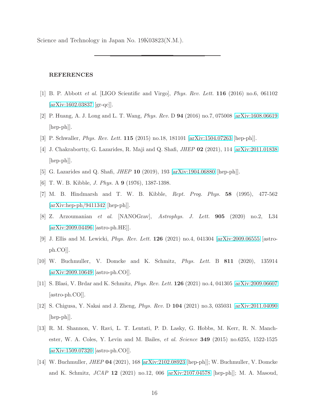Science and Technology in Japan No. 19K03823(N.M.).

# REFERENCES

- <span id="page-15-0"></span>[1] B. P. Abbott et al. [LIGO Scientific and Virgo], Phys. Rev. Lett. 116 (2016) no.6, 061102 [\[arXiv:1602.03837](http://arxiv.org/abs/1602.03837) [gr-qc]].
- <span id="page-15-1"></span>[2] P. Huang, A. J. Long and L. T. Wang, Phys. Rev. D 94 (2016) no.7, 075008 [\[arXiv:1608.06619](http://arxiv.org/abs/1608.06619) [hep-ph]].
- [3] P. Schwaller, Phys. Rev. Lett. 115 (2015) no.18, 181101 [\[arXiv:1504.07263](http://arxiv.org/abs/1504.07263) [hep-ph]].
- <span id="page-15-3"></span>[4] J. Chakrabortty, G. Lazarides, R. Maji and Q. Shafi, JHEP 02 (2021), 114 [\[arXiv:2011.01838](http://arxiv.org/abs/2011.01838)  $\vert \text{hep-ph} \vert$ .
- <span id="page-15-4"></span><span id="page-15-2"></span>[5] G. Lazarides and Q. Shafi, JHEP 10 (2019), 193 [\[arXiv:1904.06880](http://arxiv.org/abs/1904.06880) [hep-ph]].
- [6] T. W. B. Kibble, J. Phys. A 9 (1976), 1387-1398.
- <span id="page-15-5"></span>[7] M. B. Hindmarsh and T. W. B. Kibble, Rept. Prog. Phys. 58 (1995), 477-562 [\[arXiv:hep-ph/9411342](http://arxiv.org/abs/hep-ph/9411342) [hep-ph]].
- <span id="page-15-6"></span>[8] Z. Arzoumanian et al. [NANOGrav], Astrophys. J. Lett. 905 (2020) no.2, L34 [\[arXiv:2009.04496](http://arxiv.org/abs/2009.04496) [astro-ph.HE]].
- <span id="page-15-7"></span>[9] J. Ellis and M. Lewicki, Phys. Rev. Lett. 126 (2021) no.4, 041304 [\[arXiv:2009.06555](http://arxiv.org/abs/2009.06555) [astroph.CO]].
- <span id="page-15-11"></span>[10] W. Buchmuller, V. Domcke and K. Schmitz, Phys. Lett. B 811 (2020), 135914 [\[arXiv:2009.10649](http://arxiv.org/abs/2009.10649) [astro-ph.CO]].
- <span id="page-15-8"></span>[11] S. Blasi, V. Brdar and K. Schmitz, Phys. Rev. Lett. 126 (2021) no.4, 041305 [\[arXiv:2009.06607](http://arxiv.org/abs/2009.06607) [astro-ph.CO]].
- <span id="page-15-9"></span>[12] S. Chigusa, Y. Nakai and J. Zheng, Phys. Rev. D 104 (2021) no.3, 035031 [\[arXiv:2011.04090](http://arxiv.org/abs/2011.04090) [hep-ph]].
- <span id="page-15-10"></span>[13] R. M. Shannon, V. Ravi, L. T. Lentati, P. D. Lasky, G. Hobbs, M. Kerr, R. N. Manchester, W. A. Coles, Y. Levin and M. Bailes, *et al. Science* **349** (2015) no.6255, 1522-1525 [\[arXiv:1509.07320](http://arxiv.org/abs/1509.07320) [astro-ph.CO]].
- <span id="page-15-12"></span>[14] W. Buchmuller, JHEP 04 (2021), 168 [\[arXiv:2102.08923](http://arxiv.org/abs/2102.08923) [hep-ph]]; W. Buchmuller, V. Domcke and K. Schmitz, JCAP 12 (2021) no.12, 006 [\[arXiv:2107.04578](http://arxiv.org/abs/2107.04578) [hep-ph]]; M. A. Masoud,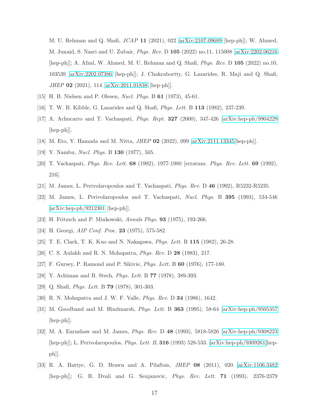M. U. Rehman and Q. Shafi, JCAP 11 (2021), 022 [\[arXiv:2107.09689](http://arxiv.org/abs/2107.09689) [hep-ph]]; W. Ahmed, M. Junaid, S. Nasri and U. Zubair, Phys. Rev. D 105 (2022) no.11, 115008 [\[arXiv:2202.06216](http://arxiv.org/abs/2202.06216) [hep-ph]]; A. Afzal, W. Ahmed, M. U. Rehman and Q. Shafi, Phys. Rev. D 105 (2022) no.10, 103539 [\[arXiv:2202.07386](http://arxiv.org/abs/2202.07386) [hep-ph]]; J. Chakrabortty, G. Lazarides, R. Maji and Q. Shafi, JHEP 02 (2021), 114 [\[arXiv:2011.01838](http://arxiv.org/abs/2011.01838) [hep-ph]].

- <span id="page-16-1"></span><span id="page-16-0"></span>[15] H. B. Nielsen and P. Olesen, Nucl. Phys. B 61 (1973), 45-61.
- <span id="page-16-2"></span>[16] T. W. B. Kibble, G. Lazarides and Q. Shafi, Phys. Lett. B 113 (1982), 237-239.
- [17] A. Achucarro and T. Vachaspati, Phys. Rept. 327 (2000), 347-426 [\[arXiv:hep-ph/9904229](http://arxiv.org/abs/hep-ph/9904229) [hep-ph]].
- <span id="page-16-4"></span><span id="page-16-3"></span>[18] M. Eto, Y. Hamada and M. Nitta, JHEP 02 (2022), 099 [\[arXiv:2111.13345\[](http://arxiv.org/abs/2111.13345)hep-ph]].
- <span id="page-16-5"></span>[19] Y. Nambu, Nucl. Phys. B 130 (1977), 505.
- [20] T. Vachaspati, Phys. Rev. Lett. 68 (1992), 1977-1980 [erratum: Phys. Rev. Lett. 69 (1992), 216].
- <span id="page-16-7"></span><span id="page-16-6"></span>[21] M. James, L. Perivolaropoulos and T. Vachaspati, Phys. Rev. D 46 (1992), R5232-R5235.
- [22] M. James, L. Perivolaropoulos and T. Vachaspati, Nucl. Phys. B 395 (1993), 534-546  $[\text{arXiv:hep-ph}/9212301$   $[\text{hep-ph}].$
- <span id="page-16-8"></span>[23] H. Fritzsch and P. Minkowski, Annals Phys. 93 (1975), 193-266.
- [24] H. Georgi, *AIP Conf. Proc.* **23** (1975), 575-582.
- [25] T. E. Clark, T. K. Kuo and N. Nakagawa, Phys. Lett. B 115 (1982), 26-28.
- <span id="page-16-10"></span><span id="page-16-9"></span>[26] C. S. Aulakh and R. N. Mohapatra, Phys. Rev. D 28 (1983), 217.
- [27] F. Gursey, P. Ramond and P. Sikivie, Phys. Lett. B 60 (1976), 177-180.
- [28] Y. Achiman and B. Stech, Phys. Lett. B 77 (1978), 389-393.
- [29] Q. Shafi, *Phys. Lett.* B **79** (1978), 301-303.
- <span id="page-16-11"></span>[30] R. N. Mohapatra and J. W. F. Valle, Phys. Rev. D 34 (1986), 1642.
- <span id="page-16-12"></span>[31] M. Goodband and M. Hindmarsh, Phys. Lett. B 363 (1995), 58-64 [\[arXiv:hep-ph/9505357](http://arxiv.org/abs/hep-ph/9505357) [hep-ph]].
- <span id="page-16-13"></span>[32] M. A. Earnshaw and M. James, Phys. Rev. D 48 (1993), 5818-5826 [\[arXiv:hep-ph/9308223](http://arxiv.org/abs/hep-ph/9308223) [hep-ph]]; L. Perivolaropoulos, Phys. Lett. B, 316 (1993) 528-533. [\[arXiv:hep-ph/9309261\[](http://arxiv.org/abs/hep-ph/9309261)hepph]].
- <span id="page-16-14"></span>[33] R. A. Battye, G. D. Brawn and A. Pilaftsis, JHEP 08 (2011), 020 [\[arXiv:1106.3482](http://arxiv.org/abs/1106.3482) [hep-ph]]; G. R. Dvali and G. Senjanovic, Phys. Rev. Lett. 71 (1993), 2376-2379